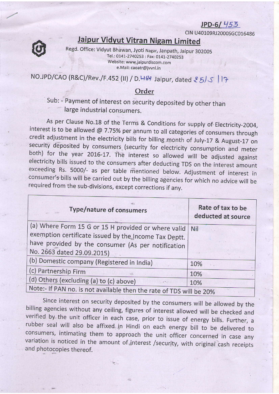### $JPD-6/453$

# CIN U40109RJ2000SGC016486

Regd. Office: Vidyut Bhawan, Jyoti Nagar, Janpath, Jaipur 302005 Tel.: 0141-2740253 : Fax: 0141-2740253 Website: www.jaipurdiscom.com e.Mail: caoatr@jvvnl.in

NO.JPD/CAO (R&C)/Rev./F.452 (II) / D.46<sup>y</sup> Jaipur, dated *と5) S* | l?

#### Order

## Sub: - Payment of interest on security deposited by other than large industrial consumers.

As per Clause No.18 of the Terms & Conditions for supply of Electricity-2004,<br>interest is to be allowed @ 7.75% per annum to all categories of consumers through<br>credit adjustment in the electricity bills for billing month

| <b>Type/nature of consumers</b>                                     | Rate of tax to be<br>deducted at source |
|---------------------------------------------------------------------|-----------------------------------------|
| (a) Where Form 15 G or 15 H provided or where valid                 | <b>Nil</b>                              |
| exemption certificate issued by the Income Tax Deptt.               |                                         |
| have provided by the consumer (As per notification                  |                                         |
| No. 2663 dated 29.09.2015)                                          |                                         |
| (b) Domestic company (Registered in India)                          | 10%                                     |
| (c) Partnership Firm                                                | 10%                                     |
| (d) Others (excluding (a) to (c) above)                             | 10%                                     |
| Note:- If PAN no. is not available then the rate of TDS will be 20% |                                         |

Since interest on security deposited by the consumers will be allowed by the billing agencies without any ceiling, figures of interest allowed will be checked and verified by the unit officer in each case, prior to issue o rubber seal will also be affixed. in Hindi on each energy bill to be delivered to consumers, intimating them to approach the unit officer concerned in case any variation is noticed in the amount of interest /security, with original cash receipts and photocopies thereof.